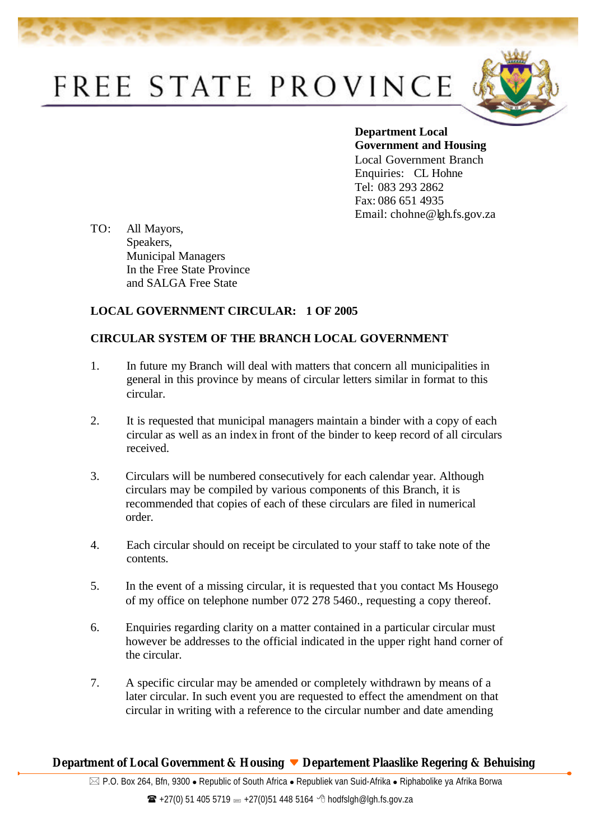## FREE STATE PROVINCE



**Department Local Government and Housing**  Local Government Branch Enquiries: CL Hohne Tel: 083 293 2862 Fax: 086 651 4935 Email: chohne@lgh.fs.gov.za

TO: All Mayors, Speakers, Municipal Managers In the Free State Province and SALGA Free State

## **LOCAL GOVERNMENT CIRCULAR: 1 OF 2005**

## **CIRCULAR SYSTEM OF THE BRANCH LOCAL GOVERNMENT**

- 1. In future my Branch will deal with matters that concern all municipalities in general in this province by means of circular letters similar in format to this circular.
- 2. It is requested that municipal managers maintain a binder with a copy of each circular as well as an index in front of the binder to keep record of all circulars received.
- 3. Circulars will be numbered consecutively for each calendar year. Although circulars may be compiled by various components of this Branch, it is recommended that copies of each of these circulars are filed in numerical order.
- 4. Each circular should on receipt be circulated to your staff to take note of the contents.
- 5. In the event of a missing circular, it is requested tha t you contact Ms Housego of my office on telephone number 072 278 5460., requesting a copy thereof.
- 6. Enquiries regarding clarity on a matter contained in a particular circular must however be addresses to the official indicated in the upper right hand corner of the circular.
- 7. A specific circular may be amended or completely withdrawn by means of a later circular. In such event you are requested to effect the amendment on that circular in writing with a reference to the circular number and date amending

## **Department of Local Government & Housing Departement Plaaslike Regering & Behuising**

 $\boxtimes$  P.O. Box 264, Bfn, 9300 • Republic of South Africa • Republiek van Suid-Afrika • Riphabolike ya Afrika Borwa